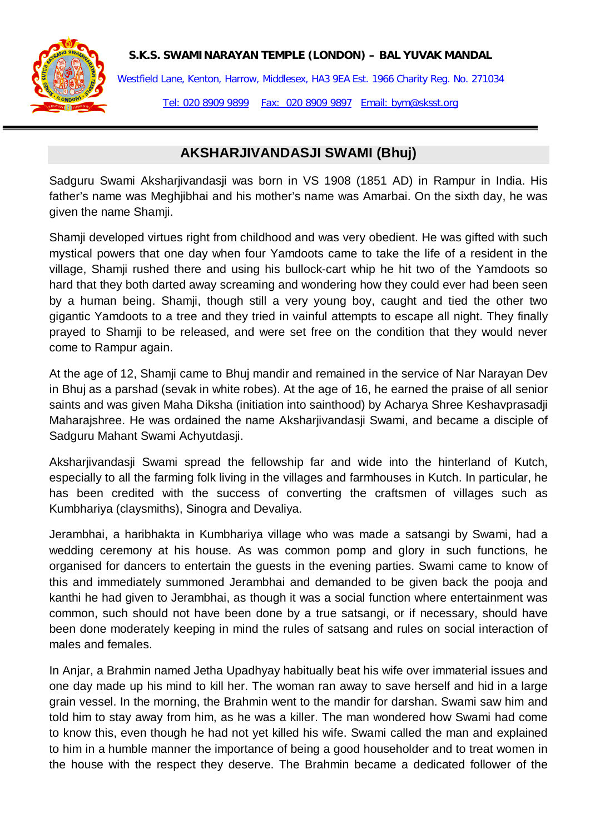**S.K.S. SWAMINARAYAN TEMPLE (LONDON) – BAL YUVAK MANDAL**



Westfield Lane, Kenton, Harrow, Middlesex, HA3 9EA Est. 1966 Charity Reg. No. 271034 Tel: 020 8909 9899 Fax: 020 8909 9897 Email: bym@sksst.org

## **AKSHARJIVANDASJI SWAMI (Bhuj)**

Sadguru Swami Aksharjivandasji was born in VS 1908 (1851 AD) in Rampur in India. His father's name was Meghjibhai and his mother's name was Amarbai. On the sixth day, he was given the name Shamji.

Shamji developed virtues right from childhood and was very obedient. He was gifted with such mystical powers that one day when four Yamdoots came to take the life of a resident in the village, Shamji rushed there and using his bullock-cart whip he hit two of the Yamdoots so hard that they both darted away screaming and wondering how they could ever had been seen by a human being. Shamji, though still a very young boy, caught and tied the other two gigantic Yamdoots to a tree and they tried in vainful attempts to escape all night. They finally prayed to Shamji to be released, and were set free on the condition that they would never come to Rampur again.

At the age of 12, Shamji came to Bhuj mandir and remained in the service of Nar Narayan Dev in Bhuj as a parshad (sevak in white robes). At the age of 16, he earned the praise of all senior saints and was given Maha Diksha (initiation into sainthood) by Acharya Shree Keshavprasadji Maharajshree. He was ordained the name Aksharjivandasji Swami, and became a disciple of Sadguru Mahant Swami Achyutdasji.

Aksharjivandasji Swami spread the fellowship far and wide into the hinterland of Kutch, especially to all the farming folk living in the villages and farmhouses in Kutch. In particular, he has been credited with the success of converting the craftsmen of villages such as Kumbhariya (claysmiths), Sinogra and Devaliya.

Jerambhai, a haribhakta in Kumbhariya village who was made a satsangi by Swami, had a wedding ceremony at his house. As was common pomp and glory in such functions, he organised for dancers to entertain the guests in the evening parties. Swami came to know of this and immediately summoned Jerambhai and demanded to be given back the pooja and kanthi he had given to Jerambhai, as though it was a social function where entertainment was common, such should not have been done by a true satsangi, or if necessary, should have been done moderately keeping in mind the rules of satsang and rules on social interaction of males and females.

In Anjar, a Brahmin named Jetha Upadhyay habitually beat his wife over immaterial issues and one day made up his mind to kill her. The woman ran away to save herself and hid in a large grain vessel. In the morning, the Brahmin went to the mandir for darshan. Swami saw him and told him to stay away from him, as he was a killer. The man wondered how Swami had come to know this, even though he had not yet killed his wife. Swami called the man and explained to him in a humble manner the importance of being a good householder and to treat women in the house with the respect they deserve. The Brahmin became a dedicated follower of the